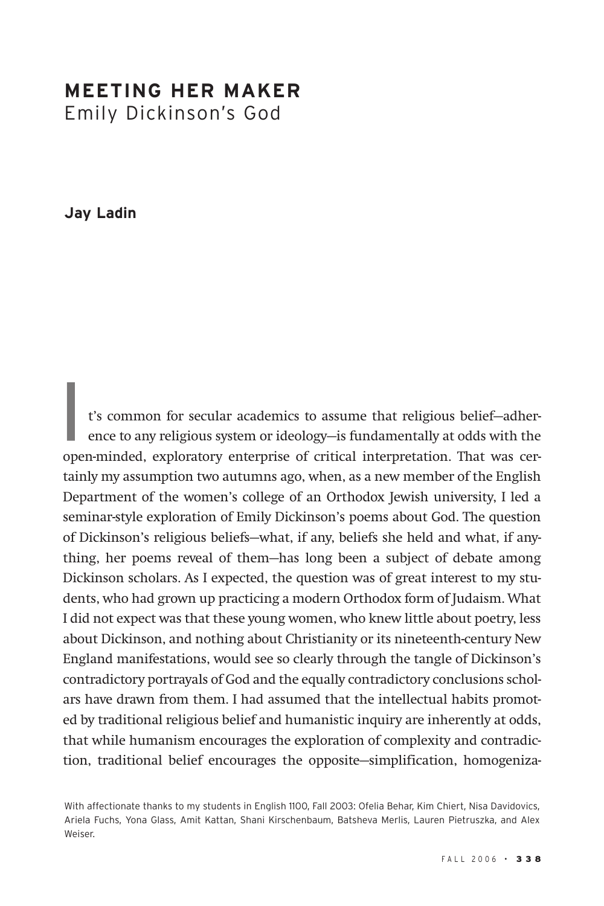## **MEETING HER MAKER** Emily Dickinson's God

**Jay Ladin**

t's common for secular academics to assume that religious belief—adherence to any religious system or ideology—is fundamentally at odds with the open-minded, exploratory enterprise of critical interpretation. That was certainly my assumption two autumns ago, when, as a new member of the English Department of the women's college of an Orthodox Jewish university, I led a seminar-style exploration of Emily Dickinson's poems about God. The question of Dickinson's religious beliefs—what, if any, beliefs she held and what, if anything, her poems reveal of them—has long been a subject of debate among Dickinson scholars. As I expected, the question was of great interest to my students, who had grown up practicing a modern Orthodox form of Judaism. What I did not expect was that these young women, who knew little about poetry, less about Dickinson, and nothing about Christianity or its nineteenth-century New England manifestations, would see so clearly through the tangle of Dickinson's contradictory portrayals of God and the equally contradictory conclusions scholars have drawn from them. I had assumed that the intellectual habits promoted by traditional religious belief and humanistic inquiry are inherently at odds, that while humanism encourages the exploration of complexity and contradiction, traditional belief encourages the opposite—simplification, homogeniza-I<br>I<br>I

With affectionate thanks to my students in English 1100, Fall 2003: Ofelia Behar, Kim Chiert, Nisa Davidovics, Ariela Fuchs, Yona Glass, Amit Kattan, Shani Kirschenbaum, Batsheva Merlis, Lauren Pietruszka, and Alex Weiser.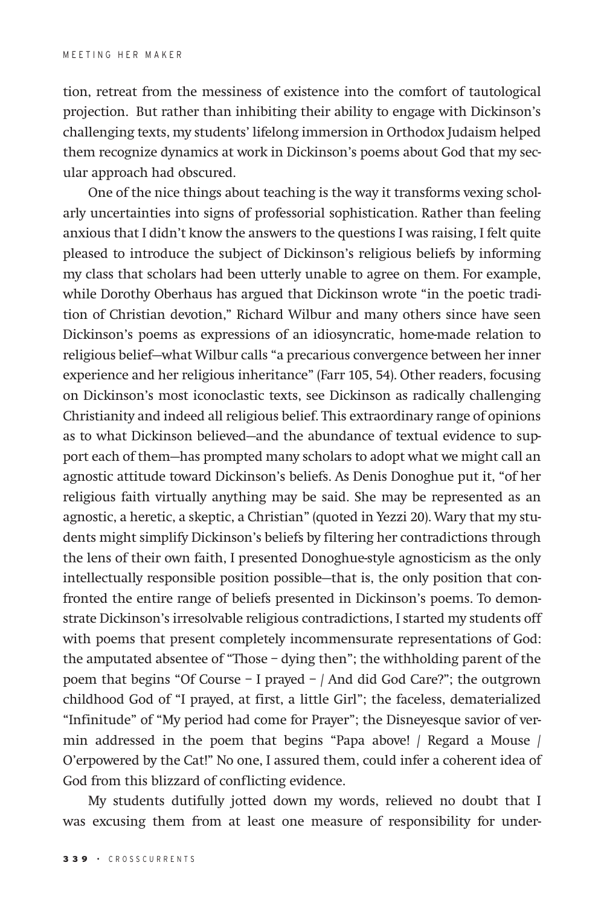tion, retreat from the messiness of existence into the comfort of tautological projection. But rather than inhibiting their ability to engage with Dickinson's challenging texts, my students' lifelong immersion in Orthodox Judaism helped them recognize dynamics at work in Dickinson's poems about God that my secular approach had obscured.

One of the nice things about teaching is the way it transforms vexing scholarly uncertainties into signs of professorial sophistication. Rather than feeling anxious that I didn't know the answers to the questions I was raising, I felt quite pleased to introduce the subject of Dickinson's religious beliefs by informing my class that scholars had been utterly unable to agree on them. For example, while Dorothy Oberhaus has argued that Dickinson wrote "in the poetic tradition of Christian devotion," Richard Wilbur and many others since have seen Dickinson's poems as expressions of an idiosyncratic, home-made relation to religious belief—what Wilbur calls "a precarious convergence between her inner experience and her religious inheritance" (Farr 105, 54). Other readers, focusing on Dickinson's most iconoclastic texts, see Dickinson as radically challenging Christianity and indeed all religious belief. This extraordinary range of opinions as to what Dickinson believed—and the abundance of textual evidence to support each of them—has prompted many scholars to adopt what we might call an agnostic attitude toward Dickinson's beliefs. As Denis Donoghue put it, "of her religious faith virtually anything may be said. She may be represented as an agnostic, a heretic, a skeptic, a Christian" (quoted in Yezzi 20). Wary that my students might simplify Dickinson's beliefs by filtering her contradictions through the lens of their own faith, I presented Donoghue-style agnosticism as the only intellectually responsible position possible—that is, the only position that confronted the entire range of beliefs presented in Dickinson's poems. To demonstrate Dickinson's irresolvable religious contradictions, I started my students off with poems that present completely incommensurate representations of God: the amputated absentee of "Those – dying then"; the withholding parent of the poem that begins "Of Course – I prayed – / And did God Care?"; the outgrown childhood God of "I prayed, at first, a little Girl"; the faceless, dematerialized "Infinitude" of "My period had come for Prayer"; the Disneyesque savior of vermin addressed in the poem that begins "Papa above! / Regard a Mouse / O'erpowered by the Cat!" No one, I assured them, could infer a coherent idea of God from this blizzard of conflicting evidence.

My students dutifully jotted down my words, relieved no doubt that I was excusing them from at least one measure of responsibility for under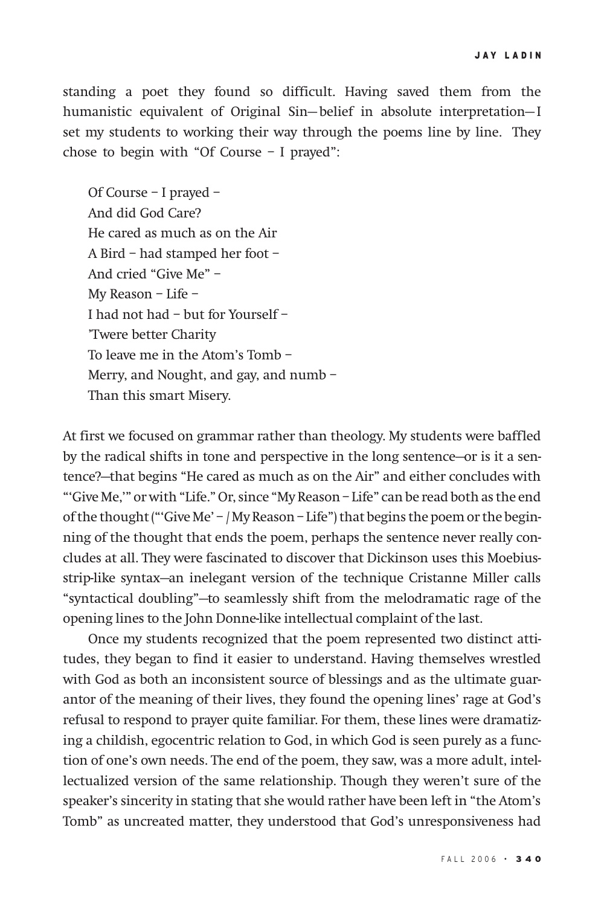standing a poet they found so difficult. Having saved them from the humanistic equivalent of Original Sin— belief in absolute interpretation— I set my students to working their way through the poems line by line. They chose to begin with "Of Course – I prayed":

Of Course – I prayed – And did God Care? He cared as much as on the Air A Bird – had stamped her foot – And cried "Give Me" – My Reason – Life – I had not had – but for Yourself – 'Twere better Charity To leave me in the Atom's Tomb – Merry, and Nought, and gay, and numb – Than this smart Misery.

At first we focused on grammar rather than theology. My students were baffled by the radical shifts in tone and perspective in the long sentence—or is it a sentence?—that begins "He cared as much as on the Air" and either concludes with "'Give Me,'" or with "Life." Or, since "My Reason – Life" can be read both as the end of the thought ("'Give Me' – / My Reason – Life") that begins the poem or the beginning of the thought that ends the poem, perhaps the sentence never really concludes at all. They were fascinated to discover that Dickinson uses this Moebiusstrip-like syntax—an inelegant version of the technique Cristanne Miller calls "syntactical doubling"—to seamlessly shift from the melodramatic rage of the opening lines to the John Donne-like intellectual complaint of the last.

Once my students recognized that the poem represented two distinct attitudes, they began to find it easier to understand. Having themselves wrestled with God as both an inconsistent source of blessings and as the ultimate guarantor of the meaning of their lives, they found the opening lines' rage at God's refusal to respond to prayer quite familiar. For them, these lines were dramatizing a childish, egocentric relation to God, in which God is seen purely as a function of one's own needs. The end of the poem, they saw, was a more adult, intellectualized version of the same relationship. Though they weren't sure of the speaker's sincerity in stating that she would rather have been left in "the Atom's Tomb" as uncreated matter, they understood that God's unresponsiveness had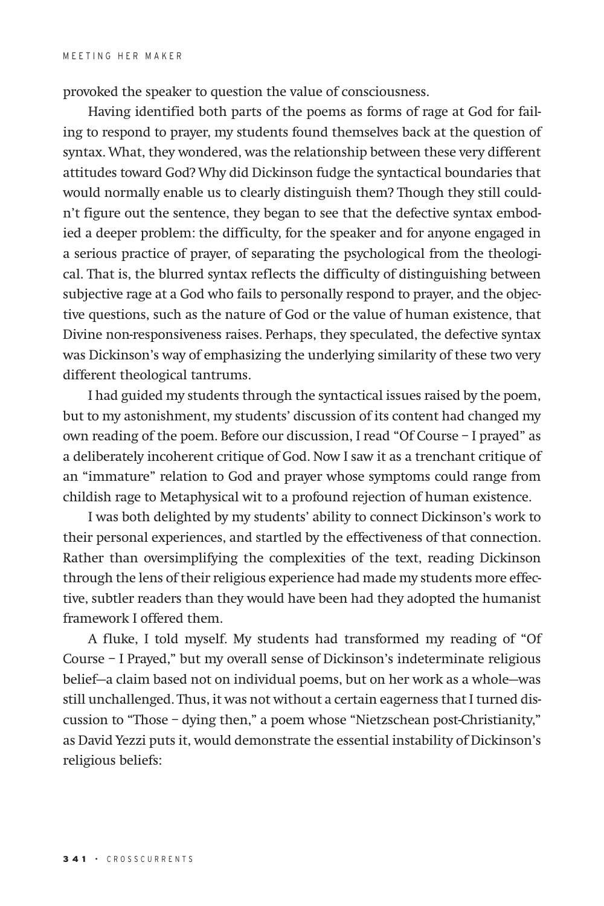provoked the speaker to question the value of consciousness.

Having identified both parts of the poems as forms of rage at God for failing to respond to prayer, my students found themselves back at the question of syntax. What, they wondered, was the relationship between these very different attitudes toward God? Why did Dickinson fudge the syntactical boundaries that would normally enable us to clearly distinguish them? Though they still couldn't figure out the sentence, they began to see that the defective syntax embodied a deeper problem: the difficulty, for the speaker and for anyone engaged in a serious practice of prayer, of separating the psychological from the theological. That is, the blurred syntax reflects the difficulty of distinguishing between subjective rage at a God who fails to personally respond to prayer, and the objective questions, such as the nature of God or the value of human existence, that Divine non-responsiveness raises. Perhaps, they speculated, the defective syntax was Dickinson's way of emphasizing the underlying similarity of these two very different theological tantrums.

I had guided my students through the syntactical issues raised by the poem, but to my astonishment, my students' discussion of its content had changed my own reading of the poem. Before our discussion, I read "Of Course – I prayed" as a deliberately incoherent critique of God. Now I saw it as a trenchant critique of an "immature" relation to God and prayer whose symptoms could range from childish rage to Metaphysical wit to a profound rejection of human existence.

I was both delighted by my students' ability to connect Dickinson's work to their personal experiences, and startled by the effectiveness of that connection. Rather than oversimplifying the complexities of the text, reading Dickinson through the lens of their religious experience had made my students more effective, subtler readers than they would have been had they adopted the humanist framework I offered them.

A fluke, I told myself. My students had transformed my reading of "Of Course – I Prayed," but my overall sense of Dickinson's indeterminate religious belief—a claim based not on individual poems, but on her work as a whole—was still unchallenged. Thus, it was not without a certain eagerness that I turned discussion to "Those – dying then," a poem whose "Nietzschean post-Christianity," as David Yezzi puts it, would demonstrate the essential instability of Dickinson's religious beliefs: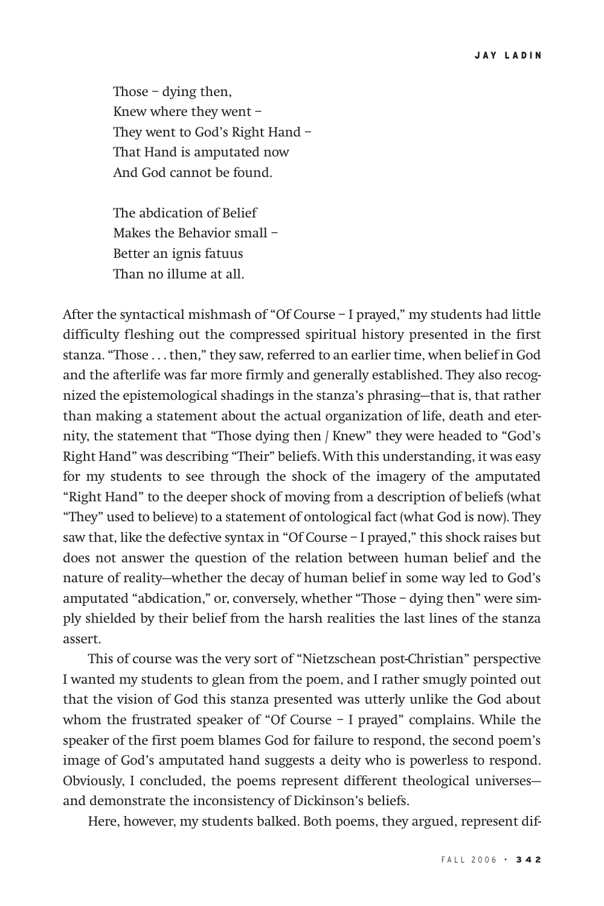Those – dying then, Knew where they went – They went to God's Right Hand – That Hand is amputated now And God cannot be found.

The abdication of Belief Makes the Behavior small – Better an ignis fatuus Than no illume at all.

After the syntactical mishmash of "Of Course – I prayed," my students had little difficulty fleshing out the compressed spiritual history presented in the first stanza. "Those . . . then," they saw, referred to an earlier time, when belief in God and the afterlife was far more firmly and generally established. They also recognized the epistemological shadings in the stanza's phrasing—that is, that rather than making a statement about the actual organization of life, death and eternity, the statement that "Those dying then / Knew" they were headed to "God's Right Hand" was describing "Their" beliefs. With this understanding, it was easy for my students to see through the shock of the imagery of the amputated "Right Hand" to the deeper shock of moving from a description of beliefs (what "They" used to believe) to a statement of ontological fact (what God is now). They saw that, like the defective syntax in "Of Course - I prayed," this shock raises but does not answer the question of the relation between human belief and the nature of reality—whether the decay of human belief in some way led to God's amputated "abdication," or, conversely, whether "Those – dying then" were simply shielded by their belief from the harsh realities the last lines of the stanza assert.

This of course was the very sort of "Nietzschean post-Christian" perspective I wanted my students to glean from the poem, and I rather smugly pointed out that the vision of God this stanza presented was utterly unlike the God about whom the frustrated speaker of "Of Course – I prayed" complains. While the speaker of the first poem blames God for failure to respond, the second poem's image of God's amputated hand suggests a deity who is powerless to respond. Obviously, I concluded, the poems represent different theological universes and demonstrate the inconsistency of Dickinson's beliefs.

Here, however, my students balked. Both poems, they argued, represent dif-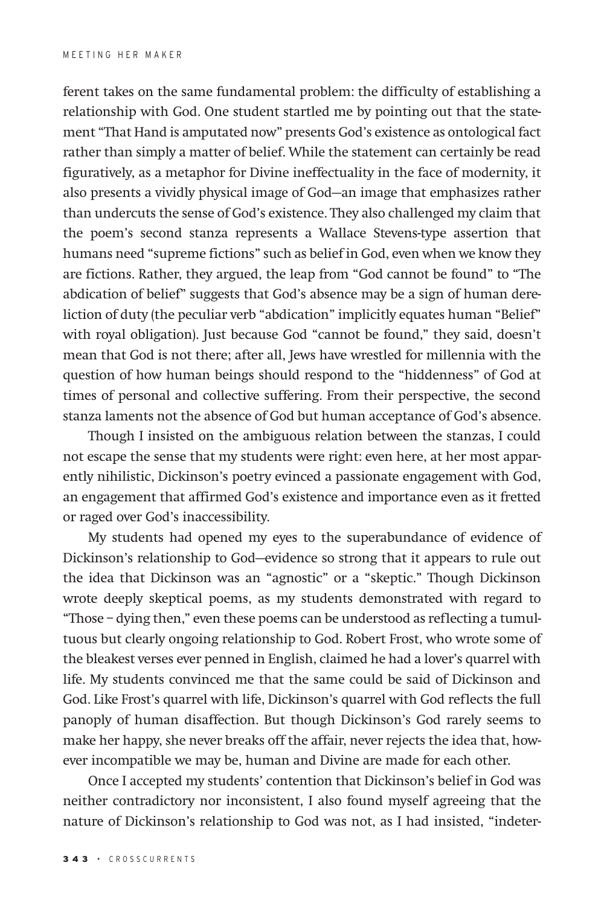ferent takes on the same fundamental problem: the difficulty of establishing a relationship with God. One student startled me by pointing out that the statement "That Hand is amputated now" presents God's existence as ontological fact rather than simply a matter of belief. While the statement can certainly be read figuratively, as a metaphor for Divine ineffectuality in the face of modernity, it also presents a vividly physical image of God—an image that emphasizes rather than undercuts the sense of God's existence. They also challenged my claim that the poem's second stanza represents a Wallace Stevens-type assertion that humans need "supreme fictions" such as belief in God, even when we know they are fictions. Rather, they argued, the leap from "God cannot be found" to "The abdication of belief" suggests that God's absence may be a sign of human dereliction of duty (the peculiar verb "abdication" implicitly equates human "Belief" with royal obligation). Just because God "cannot be found," they said, doesn't mean that God is not there; after all, Jews have wrestled for millennia with the question of how human beings should respond to the "hiddenness" of God at times of personal and collective suffering. From their perspective, the second stanza laments not the absence of God but human acceptance of God's absence.

Though I insisted on the ambiguous relation between the stanzas, I could not escape the sense that my students were right: even here, at her most apparently nihilistic, Dickinson's poetry evinced a passionate engagement with God, an engagement that affirmed God's existence and importance even as it fretted or raged over God's inaccessibility.

My students had opened my eyes to the superabundance of evidence of Dickinson's relationship to God—evidence so strong that it appears to rule out the idea that Dickinson was an "agnostic" or a "skeptic." Though Dickinson wrote deeply skeptical poems, as my students demonstrated with regard to "Those – dying then," even these poems can be understood as reflecting a tumultuous but clearly ongoing relationship to God. Robert Frost, who wrote some of the bleakest verses ever penned in English, claimed he had a lover's quarrel with life. My students convinced me that the same could be said of Dickinson and God. Like Frost's quarrel with life, Dickinson's quarrel with God reflects the full panoply of human disaffection. But though Dickinson's God rarely seems to make her happy, she never breaks off the affair, never rejects the idea that, however incompatible we may be, human and Divine are made for each other.

Once I accepted my students' contention that Dickinson's belief in God was neither contradictory nor inconsistent, I also found myself agreeing that the nature of Dickinson's relationship to God was not, as I had insisted, "indeter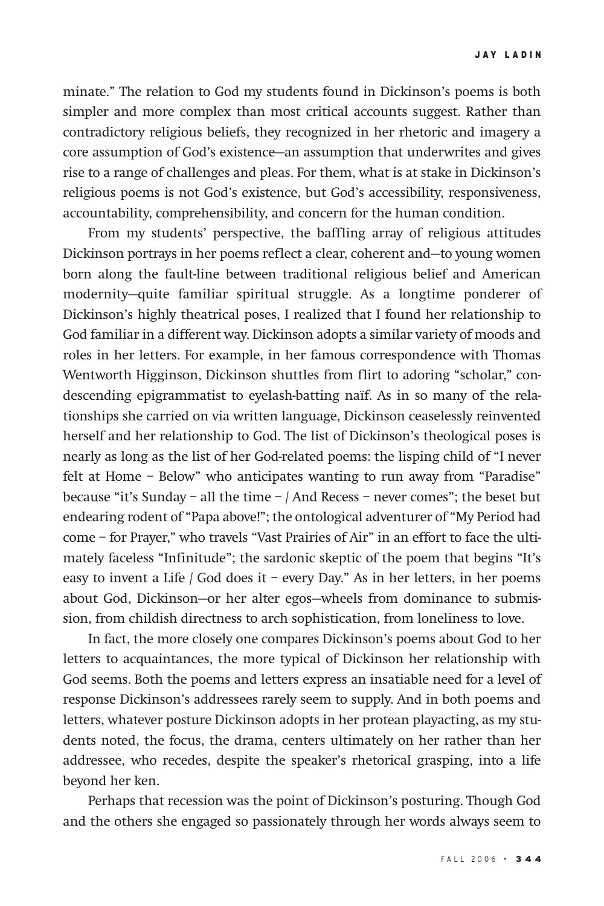minate." The relation to God my students found in Dickinson's poems is both simpler and more complex than most critical accounts suggest. Rather than contradictory religious beliefs, they recognized in her rhetoric and imagery a core assumption of God's existence—an assumption that underwrites and gives rise to a range of challenges and pleas. For them, what is at stake in Dickinson's religious poems is not God's existence, but God's accessibility, responsiveness, accountability, comprehensibility, and concern for the human condition.

From my students' perspective, the baffling array of religious attitudes Dickinson portrays in her poems reflect a clear, coherent and—to young women born along the fault-line between traditional religious belief and American modernity—quite familiar spiritual struggle. As a longtime ponderer of Dickinson's highly theatrical poses, I realized that I found her relationship to God familiar in a different way. Dickinson adopts a similar variety of moods and roles in her letters. For example, in her famous correspondence with Thomas Wentworth Higginson, Dickinson shuttles from flirt to adoring "scholar," condescending epigrammatist to eyelash-batting naïf. As in so many of the relationships she carried on via written language, Dickinson ceaselessly reinvented herself and her relationship to God. The list of Dickinson's theological poses is nearly as long as the list of her God-related poems: the lisping child of "I never felt at Home – Below" who anticipates wanting to run away from "Paradise" because "it's Sunday – all the time –  $/$  And Recess – never comes"; the beset but endearing rodent of "Papa above!"; the ontological adventurer of "My Period had come – for Prayer," who travels "Vast Prairies of Air" in an effort to face the ultimately faceless "Infinitude"; the sardonic skeptic of the poem that begins "It's easy to invent a Life / God does it – every Day." As in her letters, in her poems about God, Dickinson—or her alter egos—wheels from dominance to submission, from childish directness to arch sophistication, from loneliness to love.

In fact, the more closely one compares Dickinson's poems about God to her letters to acquaintances, the more typical of Dickinson her relationship with God seems. Both the poems and letters express an insatiable need for a level of response Dickinson's addressees rarely seem to supply. And in both poems and letters, whatever posture Dickinson adopts in her protean playacting, as my students noted, the focus, the drama, centers ultimately on her rather than her addressee, who recedes, despite the speaker's rhetorical grasping, into a life beyond her ken.

Perhaps that recession was the point of Dickinson's posturing. Though God and the others she engaged so passionately through her words always seem to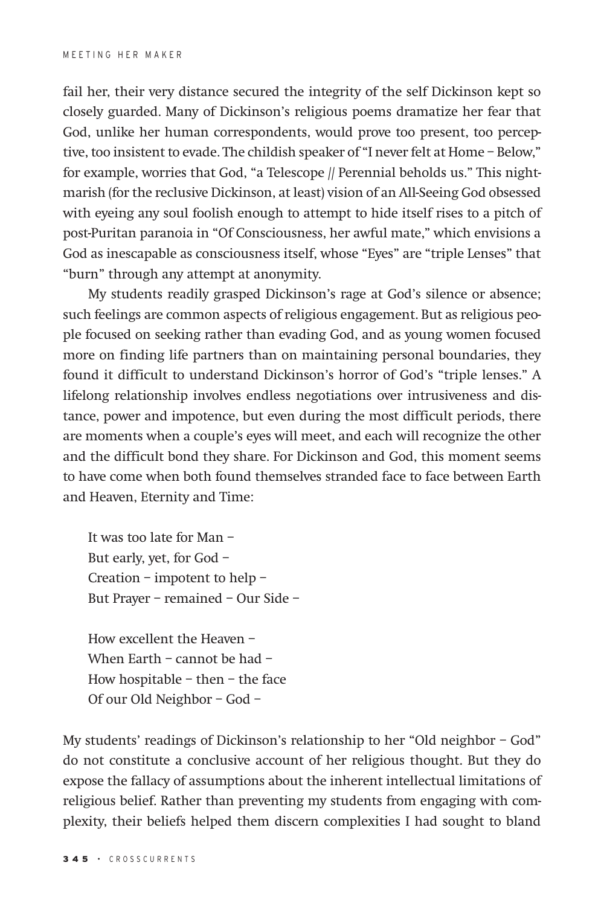fail her, their very distance secured the integrity of the self Dickinson kept so closely guarded. Many of Dickinson's religious poems dramatize her fear that God, unlike her human correspondents, would prove too present, too perceptive, too insistent to evade. The childish speaker of "I never felt at Home – Below," for example, worries that God, "a Telescope // Perennial beholds us." This nightmarish (for the reclusive Dickinson, at least) vision of an All-Seeing God obsessed with eyeing any soul foolish enough to attempt to hide itself rises to a pitch of post-Puritan paranoia in "Of Consciousness, her awful mate," which envisions a God as inescapable as consciousness itself, whose "Eyes" are "triple Lenses" that "burn" through any attempt at anonymity.

My students readily grasped Dickinson's rage at God's silence or absence; such feelings are common aspects of religious engagement. But as religious people focused on seeking rather than evading God, and as young women focused more on finding life partners than on maintaining personal boundaries, they found it difficult to understand Dickinson's horror of God's "triple lenses." A lifelong relationship involves endless negotiations over intrusiveness and distance, power and impotence, but even during the most difficult periods, there are moments when a couple's eyes will meet, and each will recognize the other and the difficult bond they share. For Dickinson and God, this moment seems to have come when both found themselves stranded face to face between Earth and Heaven, Eternity and Time:

It was too late for Man – But early, yet, for God – Creation – impotent to help – But Prayer – remained – Our Side –

How excellent the Heaven – When Earth – cannot be had – How hospitable – then – the face Of our Old Neighbor – God –

My students' readings of Dickinson's relationship to her "Old neighbor – God" do not constitute a conclusive account of her religious thought. But they do expose the fallacy of assumptions about the inherent intellectual limitations of religious belief. Rather than preventing my students from engaging with complexity, their beliefs helped them discern complexities I had sought to bland